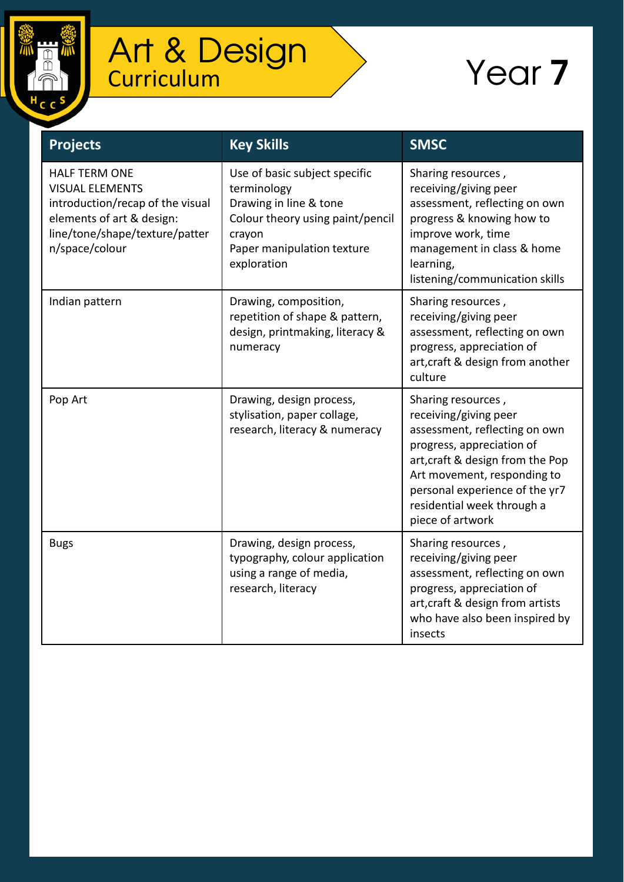

## Art & Design **Curriculum**

## Year 7

| <b>Projects</b>                                                                                                                                                     | <b>Key Skills</b>                                                                                                                                                 | <b>SMSC</b>                                                                                                                                                                                                                                                      |
|---------------------------------------------------------------------------------------------------------------------------------------------------------------------|-------------------------------------------------------------------------------------------------------------------------------------------------------------------|------------------------------------------------------------------------------------------------------------------------------------------------------------------------------------------------------------------------------------------------------------------|
| <b>HALF TERM ONE</b><br><b>VISUAL ELEMENTS</b><br>introduction/recap of the visual<br>elements of art & design:<br>line/tone/shape/texture/patter<br>n/space/colour | Use of basic subject specific<br>terminology<br>Drawing in line & tone<br>Colour theory using paint/pencil<br>crayon<br>Paper manipulation texture<br>exploration | Sharing resources,<br>receiving/giving peer<br>assessment, reflecting on own<br>progress & knowing how to<br>improve work, time<br>management in class & home<br>learning,<br>listening/communication skills                                                     |
| Indian pattern                                                                                                                                                      | Drawing, composition,<br>repetition of shape & pattern,<br>design, printmaking, literacy &<br>numeracy                                                            | Sharing resources,<br>receiving/giving peer<br>assessment, reflecting on own<br>progress, appreciation of<br>art, craft & design from another<br>culture                                                                                                         |
| Pop Art                                                                                                                                                             | Drawing, design process,<br>stylisation, paper collage,<br>research, literacy & numeracy                                                                          | Sharing resources,<br>receiving/giving peer<br>assessment, reflecting on own<br>progress, appreciation of<br>art, craft & design from the Pop<br>Art movement, responding to<br>personal experience of the yr7<br>residential week through a<br>piece of artwork |
| <b>Bugs</b>                                                                                                                                                         | Drawing, design process,<br>typography, colour application<br>using a range of media,<br>research, literacy                                                       | Sharing resources,<br>receiving/giving peer<br>assessment, reflecting on own<br>progress, appreciation of<br>art, craft & design from artists<br>who have also been inspired by<br>insects                                                                       |